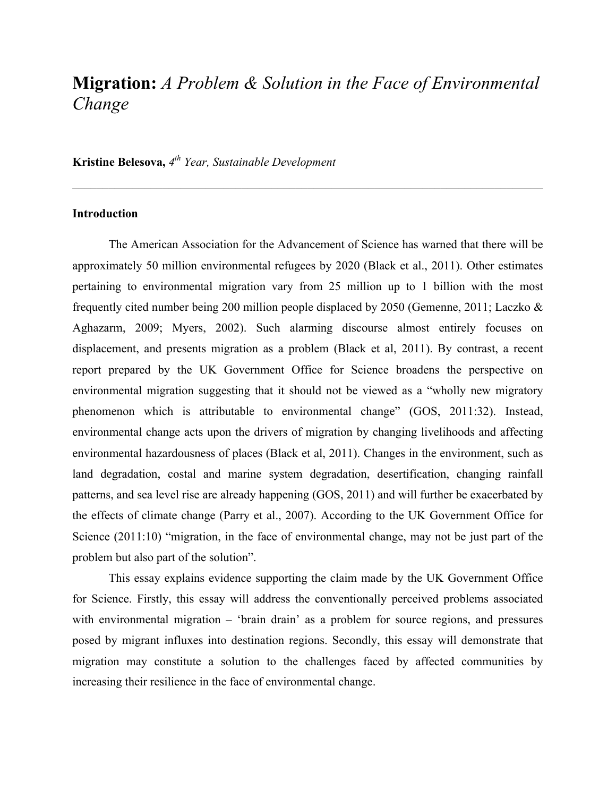# **Migration:** *A Problem & Solution in the Face of Environmental Change*

**Kristine Belesova,** *4th Year, Sustainable Development*

# **Introduction**

The American Association for the Advancement of Science has warned that there will be approximately 50 million environmental refugees by 2020 (Black et al., 2011). Other estimates pertaining to environmental migration vary from 25 million up to 1 billion with the most frequently cited number being 200 million people displaced by 2050 (Gemenne, 2011; Laczko & Aghazarm, 2009; Myers, 2002). Such alarming discourse almost entirely focuses on displacement, and presents migration as a problem (Black et al, 2011). By contrast, a recent report prepared by the UK Government Office for Science broadens the perspective on environmental migration suggesting that it should not be viewed as a "wholly new migratory phenomenon which is attributable to environmental change" (GOS, 2011:32). Instead, environmental change acts upon the drivers of migration by changing livelihoods and affecting environmental hazardousness of places (Black et al, 2011). Changes in the environment, such as land degradation, costal and marine system degradation, desertification, changing rainfall patterns, and sea level rise are already happening (GOS, 2011) and will further be exacerbated by the effects of climate change (Parry et al., 2007). According to the UK Government Office for Science (2011:10) "migration, in the face of environmental change, may not be just part of the problem but also part of the solution".

This essay explains evidence supporting the claim made by the UK Government Office for Science. Firstly, this essay will address the conventionally perceived problems associated with environmental migration – 'brain drain' as a problem for source regions, and pressures posed by migrant influxes into destination regions. Secondly, this essay will demonstrate that migration may constitute a solution to the challenges faced by affected communities by increasing their resilience in the face of environmental change.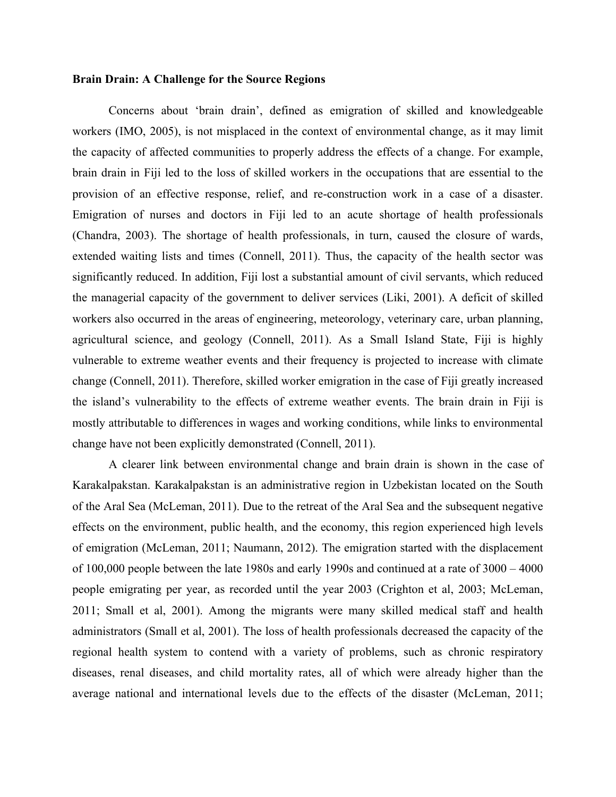# **Brain Drain: A Challenge for the Source Regions**

Concerns about 'brain drain', defined as emigration of skilled and knowledgeable workers (IMO, 2005), is not misplaced in the context of environmental change, as it may limit the capacity of affected communities to properly address the effects of a change. For example, brain drain in Fiji led to the loss of skilled workers in the occupations that are essential to the provision of an effective response, relief, and re-construction work in a case of a disaster. Emigration of nurses and doctors in Fiji led to an acute shortage of health professionals (Chandra, 2003). The shortage of health professionals, in turn, caused the closure of wards, extended waiting lists and times (Connell, 2011). Thus, the capacity of the health sector was significantly reduced. In addition, Fiji lost a substantial amount of civil servants, which reduced the managerial capacity of the government to deliver services (Liki, 2001). A deficit of skilled workers also occurred in the areas of engineering, meteorology, veterinary care, urban planning, agricultural science, and geology (Connell, 2011). As a Small Island State, Fiji is highly vulnerable to extreme weather events and their frequency is projected to increase with climate change (Connell, 2011). Therefore, skilled worker emigration in the case of Fiji greatly increased the island's vulnerability to the effects of extreme weather events. The brain drain in Fiji is mostly attributable to differences in wages and working conditions, while links to environmental change have not been explicitly demonstrated (Connell, 2011).

A clearer link between environmental change and brain drain is shown in the case of Karakalpakstan. Karakalpakstan is an administrative region in Uzbekistan located on the South of the Aral Sea (McLeman, 2011). Due to the retreat of the Aral Sea and the subsequent negative effects on the environment, public health, and the economy, this region experienced high levels of emigration (McLeman, 2011; Naumann, 2012). The emigration started with the displacement of 100,000 people between the late 1980s and early 1990s and continued at a rate of 3000 – 4000 people emigrating per year, as recorded until the year 2003 (Crighton et al, 2003; McLeman, 2011; Small et al, 2001). Among the migrants were many skilled medical staff and health administrators (Small et al, 2001). The loss of health professionals decreased the capacity of the regional health system to contend with a variety of problems, such as chronic respiratory diseases, renal diseases, and child mortality rates, all of which were already higher than the average national and international levels due to the effects of the disaster (McLeman, 2011;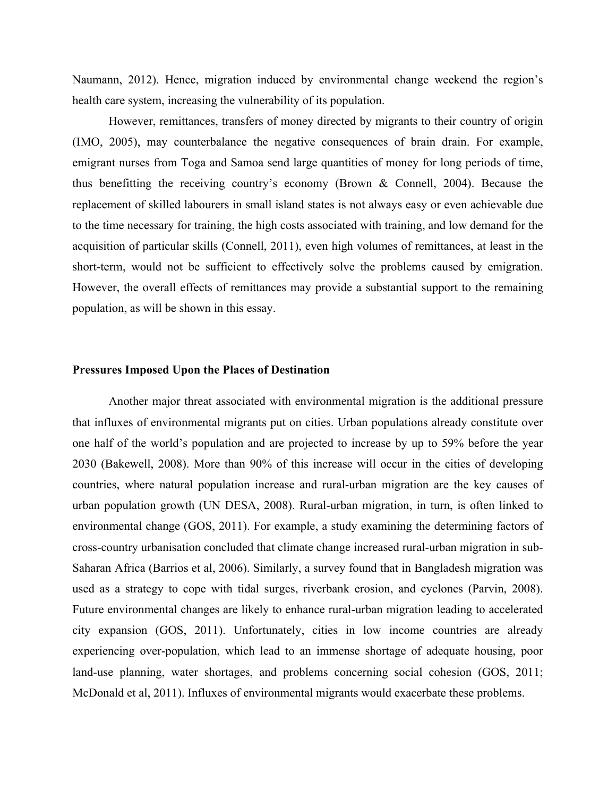Naumann, 2012). Hence, migration induced by environmental change weekend the region's health care system, increasing the vulnerability of its population.

However, remittances, transfers of money directed by migrants to their country of origin (IMO, 2005), may counterbalance the negative consequences of brain drain. For example, emigrant nurses from Toga and Samoa send large quantities of money for long periods of time, thus benefitting the receiving country's economy (Brown & Connell, 2004). Because the replacement of skilled labourers in small island states is not always easy or even achievable due to the time necessary for training, the high costs associated with training, and low demand for the acquisition of particular skills (Connell, 2011), even high volumes of remittances, at least in the short-term, would not be sufficient to effectively solve the problems caused by emigration. However, the overall effects of remittances may provide a substantial support to the remaining population, as will be shown in this essay.

#### **Pressures Imposed Upon the Places of Destination**

Another major threat associated with environmental migration is the additional pressure that influxes of environmental migrants put on cities. Urban populations already constitute over one half of the world's population and are projected to increase by up to 59% before the year 2030 (Bakewell, 2008). More than 90% of this increase will occur in the cities of developing countries, where natural population increase and rural-urban migration are the key causes of urban population growth (UN DESA, 2008). Rural-urban migration, in turn, is often linked to environmental change (GOS, 2011). For example, a study examining the determining factors of cross-country urbanisation concluded that climate change increased rural-urban migration in sub-Saharan Africa (Barrios et al, 2006). Similarly, a survey found that in Bangladesh migration was used as a strategy to cope with tidal surges, riverbank erosion, and cyclones (Parvin, 2008). Future environmental changes are likely to enhance rural-urban migration leading to accelerated city expansion (GOS, 2011). Unfortunately, cities in low income countries are already experiencing over-population, which lead to an immense shortage of adequate housing, poor land-use planning, water shortages, and problems concerning social cohesion (GOS, 2011; McDonald et al, 2011). Influxes of environmental migrants would exacerbate these problems.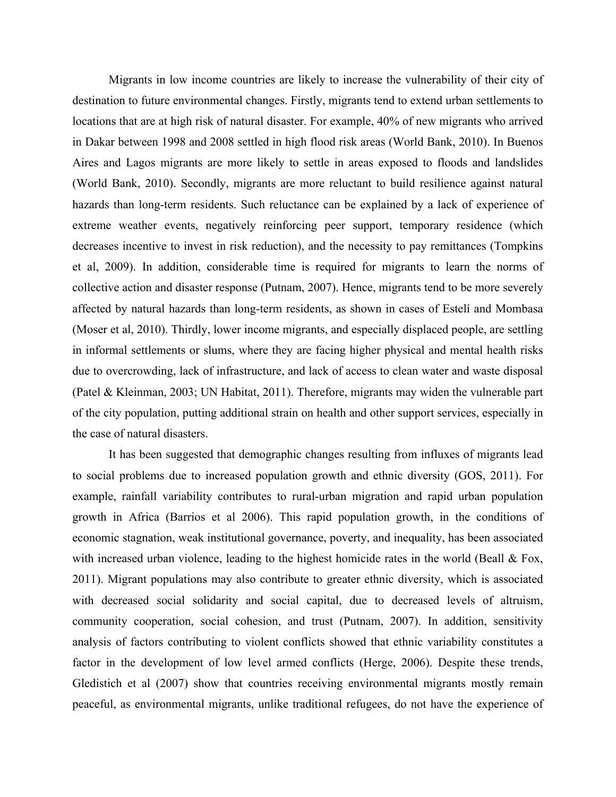Migrants in low income countries are likely to increase the vulnerability of their city of destination to future environmental changes. Firstly, migrants tend to extend urban settlements to locations that are at high risk of natural disaster. For example, 40% of new migrants who arrived in Dakar between 1998 and 2008 settled in high flood risk areas (World Bank, 2010). In Buenos Aires and Lagos migrants are more likely to settle in areas exposed to floods and landslides (World Bank, 2010). Secondly, migrants are more reluctant to build resilience against natural hazards than long-term residents. Such reluctance can be explained by a lack of experience of extreme weather events, negatively reinforcing peer support, temporary residence (which decreases incentive to invest in risk reduction), and the necessity to pay remittances (Tompkins et al, 2009). In addition, considerable time is required for migrants to learn the norms of collective action and disaster response (Putnam, 2007). Hence, migrants tend to be more severely affected by natural hazards than long-term residents, as shown in cases of Estelí and Mombasa (Moser et al, 2010). Thirdly, lower income migrants, and especially displaced people, are settling in informal settlements or slums, where they are facing higher physical and mental health risks due to overcrowding, lack of infrastructure, and lack of access to clean water and waste disposal (Patel & Kleinman, 2003; UN Habitat, 2011). Therefore, migrants may widen the vulnerable part of the city population, putting additional strain on health and other support services, especially in the case of natural disasters.

It has been suggested that demographic changes resulting from influxes of migrants lead to social problems due to increased population growth and ethnic diversity (GOS, 2011). For example, rainfall variability contributes to rural-urban migration and rapid urban population growth in Africa (Barrios et al 2006). This rapid population growth, in the conditions of economic stagnation, weak institutional governance, poverty, and inequality, has been associated with increased urban violence, leading to the highest homicide rates in the world (Beall & Fox, 2011). Migrant populations may also contribute to greater ethnic diversity, which is associated with decreased social solidarity and social capital, due to decreased levels of altruism, community cooperation, social cohesion, and trust (Putnam, 2007). In addition, sensitivity analysis of factors contributing to violent conflicts showed that ethnic variability constitutes a factor in the development of low level armed conflicts (Herge, 2006). Despite these trends, Gledistich et al (2007) show that countries receiving environmental migrants mostly remain peaceful, as environmental migrants, unlike traditional refugees, do not have the experience of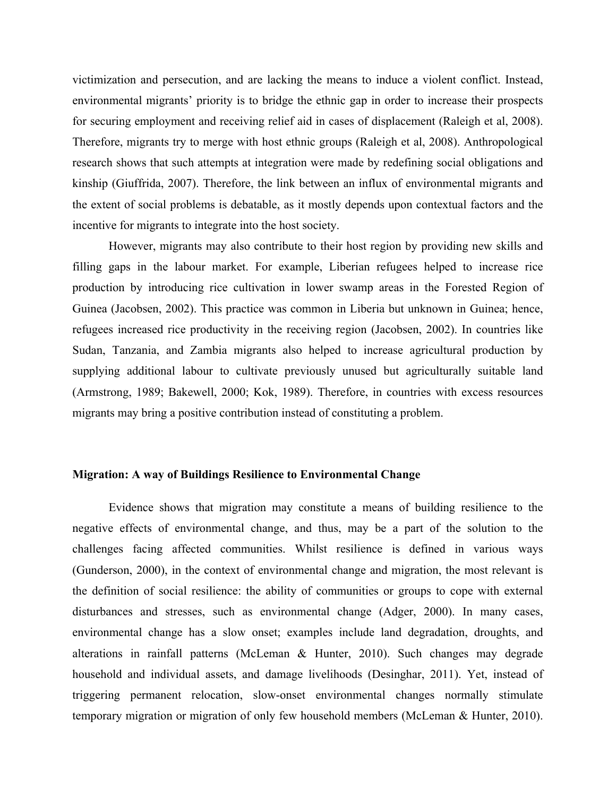victimization and persecution, and are lacking the means to induce a violent conflict. Instead, environmental migrants' priority is to bridge the ethnic gap in order to increase their prospects for securing employment and receiving relief aid in cases of displacement (Raleigh et al, 2008). Therefore, migrants try to merge with host ethnic groups (Raleigh et al, 2008). Anthropological research shows that such attempts at integration were made by redefining social obligations and kinship (Giuffrida, 2007). Therefore, the link between an influx of environmental migrants and the extent of social problems is debatable, as it mostly depends upon contextual factors and the incentive for migrants to integrate into the host society.

However, migrants may also contribute to their host region by providing new skills and filling gaps in the labour market. For example, Liberian refugees helped to increase rice production by introducing rice cultivation in lower swamp areas in the Forested Region of Guinea (Jacobsen, 2002). This practice was common in Liberia but unknown in Guinea; hence, refugees increased rice productivity in the receiving region (Jacobsen, 2002). In countries like Sudan, Tanzania, and Zambia migrants also helped to increase agricultural production by supplying additional labour to cultivate previously unused but agriculturally suitable land (Armstrong, 1989; Bakewell, 2000; Kok, 1989). Therefore, in countries with excess resources migrants may bring a positive contribution instead of constituting a problem.

# **Migration: A way of Buildings Resilience to Environmental Change**

Evidence shows that migration may constitute a means of building resilience to the negative effects of environmental change, and thus, may be a part of the solution to the challenges facing affected communities. Whilst resilience is defined in various ways (Gunderson, 2000), in the context of environmental change and migration, the most relevant is the definition of social resilience: the ability of communities or groups to cope with external disturbances and stresses, such as environmental change (Adger, 2000). In many cases, environmental change has a slow onset; examples include land degradation, droughts, and alterations in rainfall patterns (McLeman & Hunter, 2010). Such changes may degrade household and individual assets, and damage livelihoods (Desinghar, 2011). Yet, instead of triggering permanent relocation, slow-onset environmental changes normally stimulate temporary migration or migration of only few household members (McLeman & Hunter, 2010).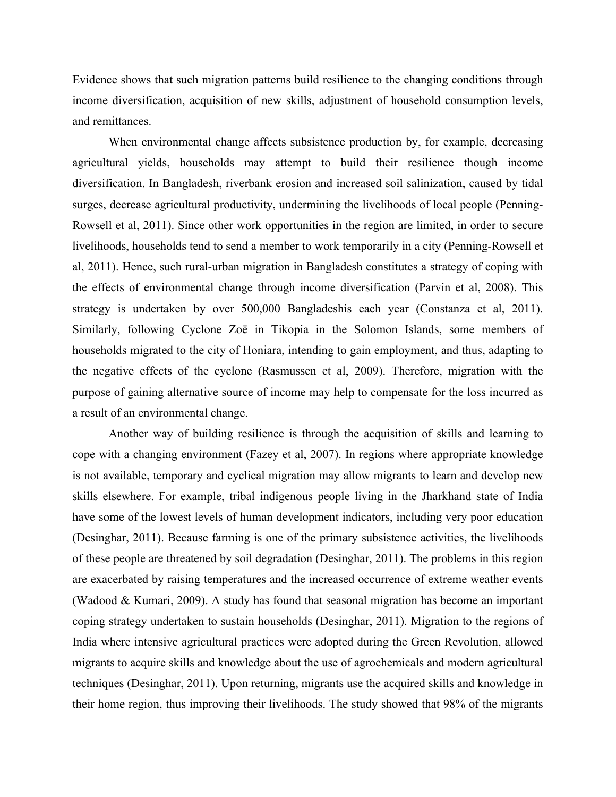Evidence shows that such migration patterns build resilience to the changing conditions through income diversification, acquisition of new skills, adjustment of household consumption levels, and remittances.

When environmental change affects subsistence production by, for example, decreasing agricultural yields, households may attempt to build their resilience though income diversification. In Bangladesh, riverbank erosion and increased soil salinization, caused by tidal surges, decrease agricultural productivity, undermining the livelihoods of local people (Penning-Rowsell et al, 2011). Since other work opportunities in the region are limited, in order to secure livelihoods, households tend to send a member to work temporarily in a city (Penning-Rowsell et al, 2011). Hence, such rural-urban migration in Bangladesh constitutes a strategy of coping with the effects of environmental change through income diversification (Parvin et al, 2008). This strategy is undertaken by over 500,000 Bangladeshis each year (Constanza et al, 2011). Similarly, following Cyclone Zoë in Tikopia in the Solomon Islands, some members of households migrated to the city of Honiara, intending to gain employment, and thus, adapting to the negative effects of the cyclone (Rasmussen et al, 2009). Therefore, migration with the purpose of gaining alternative source of income may help to compensate for the loss incurred as a result of an environmental change.

Another way of building resilience is through the acquisition of skills and learning to cope with a changing environment (Fazey et al, 2007). In regions where appropriate knowledge is not available, temporary and cyclical migration may allow migrants to learn and develop new skills elsewhere. For example, tribal indigenous people living in the Jharkhand state of India have some of the lowest levels of human development indicators, including very poor education (Desinghar, 2011). Because farming is one of the primary subsistence activities, the livelihoods of these people are threatened by soil degradation (Desinghar, 2011). The problems in this region are exacerbated by raising temperatures and the increased occurrence of extreme weather events (Wadood & Kumari, 2009). A study has found that seasonal migration has become an important coping strategy undertaken to sustain households (Desinghar, 2011). Migration to the regions of India where intensive agricultural practices were adopted during the Green Revolution, allowed migrants to acquire skills and knowledge about the use of agrochemicals and modern agricultural techniques (Desinghar, 2011). Upon returning, migrants use the acquired skills and knowledge in their home region, thus improving their livelihoods. The study showed that 98% of the migrants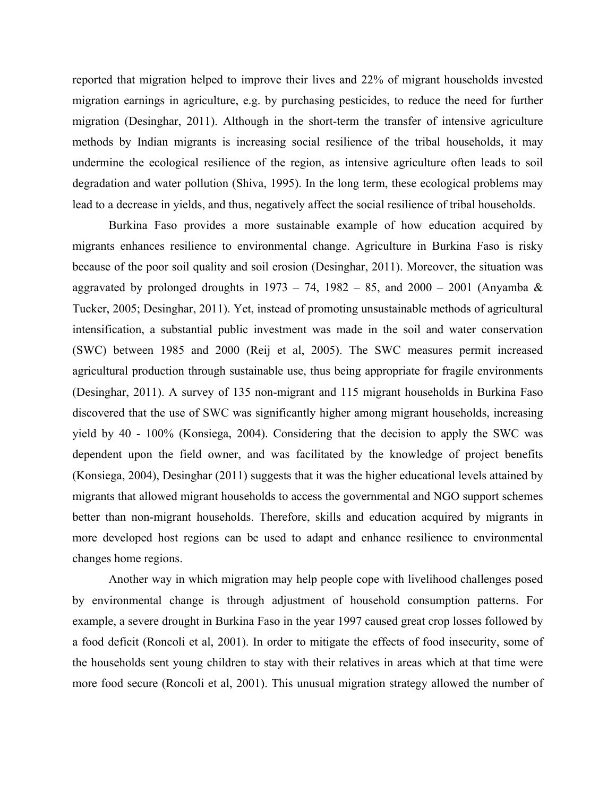reported that migration helped to improve their lives and 22% of migrant households invested migration earnings in agriculture, e.g. by purchasing pesticides, to reduce the need for further migration (Desinghar, 2011). Although in the short-term the transfer of intensive agriculture methods by Indian migrants is increasing social resilience of the tribal households, it may undermine the ecological resilience of the region, as intensive agriculture often leads to soil degradation and water pollution (Shiva, 1995). In the long term, these ecological problems may lead to a decrease in yields, and thus, negatively affect the social resilience of tribal households.

Burkina Faso provides a more sustainable example of how education acquired by migrants enhances resilience to environmental change. Agriculture in Burkina Faso is risky because of the poor soil quality and soil erosion (Desinghar, 2011). Moreover, the situation was aggravated by prolonged droughts in  $1973 - 74$ ,  $1982 - 85$ , and  $2000 - 2001$  (Anyamba & Tucker, 2005; Desinghar, 2011). Yet, instead of promoting unsustainable methods of agricultural intensification, a substantial public investment was made in the soil and water conservation (SWC) between 1985 and 2000 (Reij et al, 2005). The SWC measures permit increased agricultural production through sustainable use, thus being appropriate for fragile environments (Desinghar, 2011). A survey of 135 non-migrant and 115 migrant households in Burkina Faso discovered that the use of SWC was significantly higher among migrant households, increasing yield by 40 - 100% (Konsiega, 2004). Considering that the decision to apply the SWC was dependent upon the field owner, and was facilitated by the knowledge of project benefits (Konsiega, 2004), Desinghar (2011) suggests that it was the higher educational levels attained by migrants that allowed migrant households to access the governmental and NGO support schemes better than non-migrant households. Therefore, skills and education acquired by migrants in more developed host regions can be used to adapt and enhance resilience to environmental changes home regions.

Another way in which migration may help people cope with livelihood challenges posed by environmental change is through adjustment of household consumption patterns. For example, a severe drought in Burkina Faso in the year 1997 caused great crop losses followed by a food deficit (Roncoli et al, 2001). In order to mitigate the effects of food insecurity, some of the households sent young children to stay with their relatives in areas which at that time were more food secure (Roncoli et al, 2001). This unusual migration strategy allowed the number of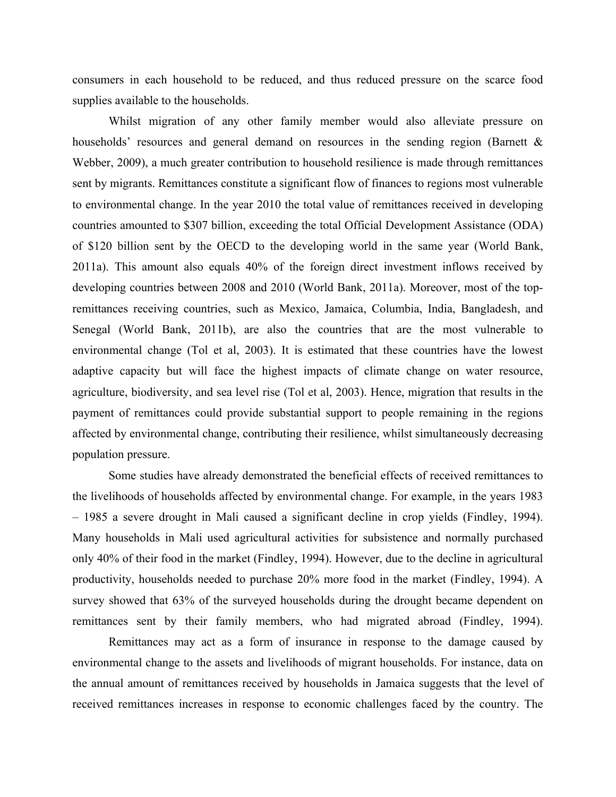consumers in each household to be reduced, and thus reduced pressure on the scarce food supplies available to the households.

Whilst migration of any other family member would also alleviate pressure on households' resources and general demand on resources in the sending region (Barnett & Webber, 2009), a much greater contribution to household resilience is made through remittances sent by migrants. Remittances constitute a significant flow of finances to regions most vulnerable to environmental change. In the year 2010 the total value of remittances received in developing countries amounted to \$307 billion, exceeding the total Official Development Assistance (ODA) of \$120 billion sent by the OECD to the developing world in the same year (World Bank, 2011a). This amount also equals 40% of the foreign direct investment inflows received by developing countries between 2008 and 2010 (World Bank, 2011a). Moreover, most of the topremittances receiving countries, such as Mexico, Jamaica, Columbia, India, Bangladesh, and Senegal (World Bank, 2011b), are also the countries that are the most vulnerable to environmental change (Tol et al, 2003). It is estimated that these countries have the lowest adaptive capacity but will face the highest impacts of climate change on water resource, agriculture, biodiversity, and sea level rise (Tol et al, 2003). Hence, migration that results in the payment of remittances could provide substantial support to people remaining in the regions affected by environmental change, contributing their resilience, whilst simultaneously decreasing population pressure.

Some studies have already demonstrated the beneficial effects of received remittances to the livelihoods of households affected by environmental change. For example, in the years 1983 – 1985 a severe drought in Mali caused a significant decline in crop yields (Findley, 1994). Many households in Mali used agricultural activities for subsistence and normally purchased only 40% of their food in the market (Findley, 1994). However, due to the decline in agricultural productivity, households needed to purchase 20% more food in the market (Findley, 1994). A survey showed that 63% of the surveyed households during the drought became dependent on remittances sent by their family members, who had migrated abroad (Findley, 1994).

Remittances may act as a form of insurance in response to the damage caused by environmental change to the assets and livelihoods of migrant households. For instance, data on the annual amount of remittances received by households in Jamaica suggests that the level of received remittances increases in response to economic challenges faced by the country. The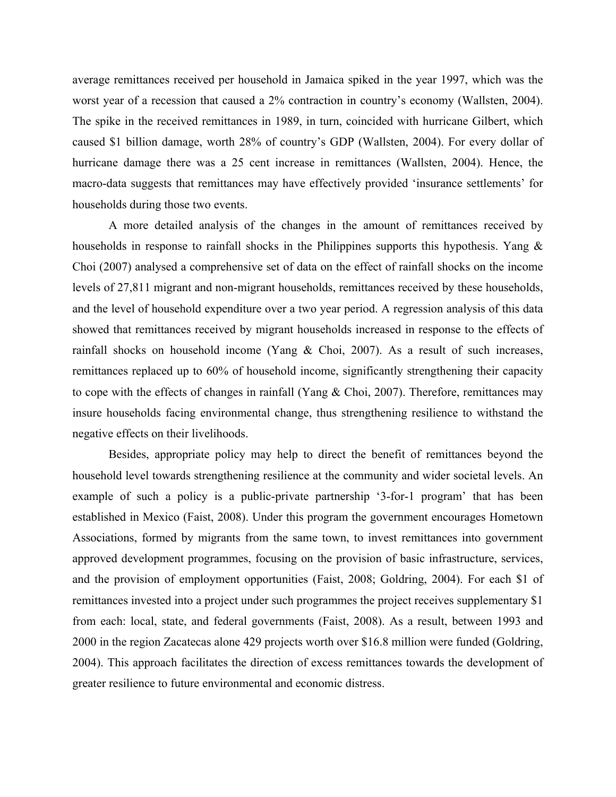average remittances received per household in Jamaica spiked in the year 1997, which was the worst year of a recession that caused a 2% contraction in country's economy (Wallsten, 2004). The spike in the received remittances in 1989, in turn, coincided with hurricane Gilbert, which caused \$1 billion damage, worth 28% of country's GDP (Wallsten, 2004). For every dollar of hurricane damage there was a 25 cent increase in remittances (Wallsten, 2004). Hence, the macro-data suggests that remittances may have effectively provided 'insurance settlements' for households during those two events.

A more detailed analysis of the changes in the amount of remittances received by households in response to rainfall shocks in the Philippines supports this hypothesis. Yang & Choi (2007) analysed a comprehensive set of data on the effect of rainfall shocks on the income levels of 27,811 migrant and non-migrant households, remittances received by these households, and the level of household expenditure over a two year period. A regression analysis of this data showed that remittances received by migrant households increased in response to the effects of rainfall shocks on household income (Yang & Choi, 2007). As a result of such increases, remittances replaced up to 60% of household income, significantly strengthening their capacity to cope with the effects of changes in rainfall (Yang & Choi, 2007). Therefore, remittances may insure households facing environmental change, thus strengthening resilience to withstand the negative effects on their livelihoods.

Besides, appropriate policy may help to direct the benefit of remittances beyond the household level towards strengthening resilience at the community and wider societal levels. An example of such a policy is a public-private partnership '3-for-1 program' that has been established in Mexico (Faist, 2008). Under this program the government encourages Hometown Associations, formed by migrants from the same town, to invest remittances into government approved development programmes, focusing on the provision of basic infrastructure, services, and the provision of employment opportunities (Faist, 2008; Goldring, 2004). For each \$1 of remittances invested into a project under such programmes the project receives supplementary \$1 from each: local, state, and federal governments (Faist, 2008). As a result, between 1993 and 2000 in the region Zacatecas alone 429 projects worth over \$16.8 million were funded (Goldring, 2004). This approach facilitates the direction of excess remittances towards the development of greater resilience to future environmental and economic distress.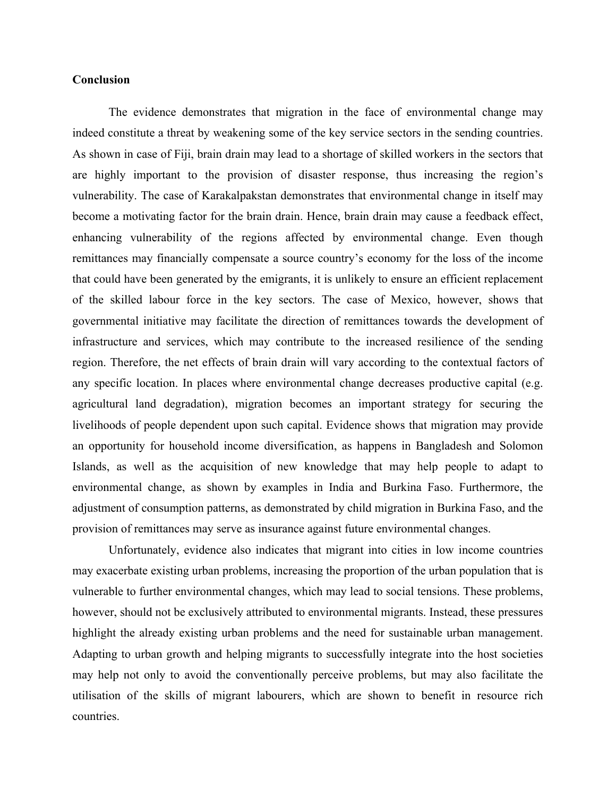# **Conclusion**

The evidence demonstrates that migration in the face of environmental change may indeed constitute a threat by weakening some of the key service sectors in the sending countries. As shown in case of Fiji, brain drain may lead to a shortage of skilled workers in the sectors that are highly important to the provision of disaster response, thus increasing the region's vulnerability. The case of Karakalpakstan demonstrates that environmental change in itself may become a motivating factor for the brain drain. Hence, brain drain may cause a feedback effect, enhancing vulnerability of the regions affected by environmental change. Even though remittances may financially compensate a source country's economy for the loss of the income that could have been generated by the emigrants, it is unlikely to ensure an efficient replacement of the skilled labour force in the key sectors. The case of Mexico, however, shows that governmental initiative may facilitate the direction of remittances towards the development of infrastructure and services, which may contribute to the increased resilience of the sending region. Therefore, the net effects of brain drain will vary according to the contextual factors of any specific location. In places where environmental change decreases productive capital (e.g. agricultural land degradation), migration becomes an important strategy for securing the livelihoods of people dependent upon such capital. Evidence shows that migration may provide an opportunity for household income diversification, as happens in Bangladesh and Solomon Islands, as well as the acquisition of new knowledge that may help people to adapt to environmental change, as shown by examples in India and Burkina Faso. Furthermore, the adjustment of consumption patterns, as demonstrated by child migration in Burkina Faso, and the provision of remittances may serve as insurance against future environmental changes.

Unfortunately, evidence also indicates that migrant into cities in low income countries may exacerbate existing urban problems, increasing the proportion of the urban population that is vulnerable to further environmental changes, which may lead to social tensions. These problems, however, should not be exclusively attributed to environmental migrants. Instead, these pressures highlight the already existing urban problems and the need for sustainable urban management. Adapting to urban growth and helping migrants to successfully integrate into the host societies may help not only to avoid the conventionally perceive problems, but may also facilitate the utilisation of the skills of migrant labourers, which are shown to benefit in resource rich countries.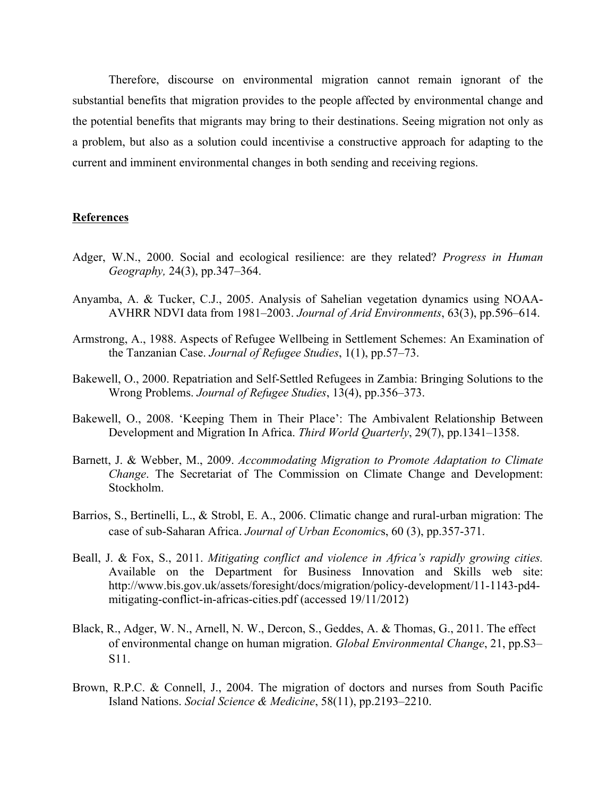Therefore, discourse on environmental migration cannot remain ignorant of the substantial benefits that migration provides to the people affected by environmental change and the potential benefits that migrants may bring to their destinations. Seeing migration not only as a problem, but also as a solution could incentivise a constructive approach for adapting to the current and imminent environmental changes in both sending and receiving regions.

# **References**

- Adger, W.N., 2000. Social and ecological resilience: are they related? *Progress in Human Geography,* 24(3), pp.347–364.
- Anyamba, A. & Tucker, C.J., 2005. Analysis of Sahelian vegetation dynamics using NOAA-AVHRR NDVI data from 1981–2003. *Journal of Arid Environments*, 63(3), pp.596–614.
- Armstrong, A., 1988. Aspects of Refugee Wellbeing in Settlement Schemes: An Examination of the Tanzanian Case. *Journal of Refugee Studies*, 1(1), pp.57–73.
- Bakewell, O., 2000. Repatriation and Self-Settled Refugees in Zambia: Bringing Solutions to the Wrong Problems. *Journal of Refugee Studies*, 13(4), pp.356–373.
- Bakewell, O., 2008. 'Keeping Them in Their Place': The Ambivalent Relationship Between Development and Migration In Africa. *Third World Quarterly*, 29(7), pp.1341–1358.
- Barnett, J. & Webber, M., 2009. *Accommodating Migration to Promote Adaptation to Climate Change*. The Secretariat of The Commission on Climate Change and Development: Stockholm.
- Barrios, S., Bertinelli, L., & Strobl, E. A., 2006. Climatic change and rural-urban migration: The case of sub-Saharan Africa. *Journal of Urban Economic*s, 60 (3), pp.357-371.
- Beall, J. & Fox, S., 2011. *Mitigating conflict and violence in Africa's rapidly growing cities.*  Available on the Department for Business Innovation and Skills web site: http://www.bis.gov.uk/assets/foresight/docs/migration/policy-development/11-1143-pd4 mitigating-conflict-in-africas-cities.pdf (accessed 19/11/2012)
- Black, R., Adger, W. N., Arnell, N. W., Dercon, S., Geddes, A. & Thomas, G., 2011. The effect of environmental change on human migration. *Global Environmental Change*, 21, pp.S3– S11.
- Brown, R.P.C. & Connell, J., 2004. The migration of doctors and nurses from South Pacific Island Nations. *Social Science & Medicine*, 58(11), pp.2193–2210.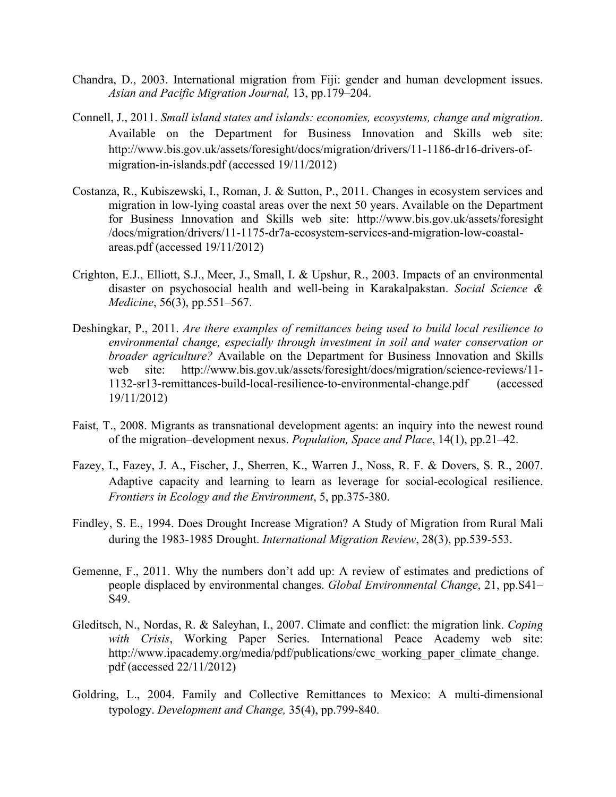- Chandra, D., 2003. International migration from Fiji: gender and human development issues. *Asian and Pacific Migration Journal,* 13, pp.179–204.
- Connell, J., 2011. *Small island states and islands: economies, ecosystems, change and migration*. Available on the Department for Business Innovation and Skills web site: http://www.bis.gov.uk/assets/foresight/docs/migration/drivers/11-1186-dr16-drivers-ofmigration-in-islands.pdf (accessed 19/11/2012)
- Costanza, R., Kubiszewski, I., Roman, J. & Sutton, P., 2011. Changes in ecosystem services and migration in low-lying coastal areas over the next 50 years. Available on the Department for Business Innovation and Skills web site: http://www.bis.gov.uk/assets/foresight /docs/migration/drivers/11-1175-dr7a-ecosystem-services-and-migration-low-coastalareas.pdf (accessed 19/11/2012)
- Crighton, E.J., Elliott, S.J., Meer, J., Small, I. & Upshur, R., 2003. Impacts of an environmental disaster on psychosocial health and well-being in Karakalpakstan. *Social Science & Medicine*, 56(3), pp.551–567.
- Deshingkar, P., 2011. *Are there examples of remittances being used to build local resilience to environmental change, especially through investment in soil and water conservation or broader agriculture?* Available on the Department for Business Innovation and Skills web site: http://www.bis.gov.uk/assets/foresight/docs/migration/science-reviews/11- 1132-sr13-remittances-build-local-resilience-to-environmental-change.pdf (accessed 19/11/2012)
- Faist, T., 2008. Migrants as transnational development agents: an inquiry into the newest round of the migration–development nexus. *Population, Space and Place*, 14(1), pp.21–42.
- Fazey, I., Fazey, J. A., Fischer, J., Sherren, K., Warren J., Noss, R. F. & Dovers, S. R., 2007. Adaptive capacity and learning to learn as leverage for social-ecological resilience. *Frontiers in Ecology and the Environment*, 5, pp.375-380.
- Findley, S. E., 1994. Does Drought Increase Migration? A Study of Migration from Rural Mali during the 1983-1985 Drought. *International Migration Review*, 28(3), pp.539-553.
- Gemenne, F., 2011. Why the numbers don't add up: A review of estimates and predictions of people displaced by environmental changes. *Global Environmental Change*, 21, pp.S41– S49.
- Gleditsch, N., Nordas, R. & Saleyhan, I., 2007. Climate and conflict: the migration link. *Coping with Crisis*, Working Paper Series. International Peace Academy web site: http://www.ipacademy.org/media/pdf/publications/cwc\_working\_paper\_climate\_change. pdf (accessed 22/11/2012)
- Goldring, L., 2004. Family and Collective Remittances to Mexico: A multi-dimensional typology. *Development and Change,* 35(4), pp.799-840.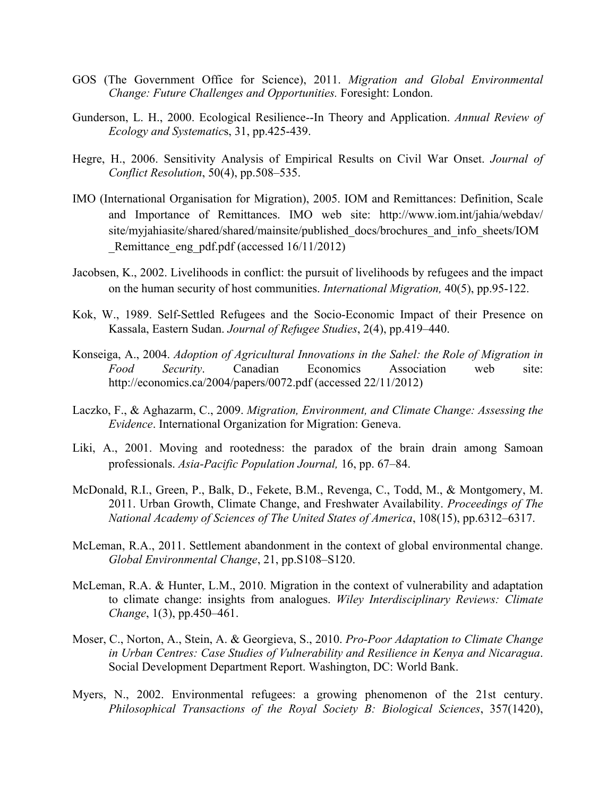- GOS (The Government Office for Science), 2011. *Migration and Global Environmental Change: Future Challenges and Opportunities.* Foresight: London.
- Gunderson, L. H., 2000. Ecological Resilience--In Theory and Application. *Annual Review of Ecology and Systematic*s, 31, pp.425-439.
- Hegre, H., 2006. Sensitivity Analysis of Empirical Results on Civil War Onset. *Journal of Conflict Resolution*, 50(4), pp.508–535.
- IMO (International Organisation for Migration), 2005. IOM and Remittances: Definition, Scale and Importance of Remittances. IMO web site: http://www.iom.int/jahia/webdav/ site/myjahiasite/shared/shared/mainsite/published\_docs/brochures\_and\_info\_sheets/IOM Remittance eng pdf.pdf (accessed 16/11/2012)
- Jacobsen, K., 2002. Livelihoods in conflict: the pursuit of livelihoods by refugees and the impact on the human security of host communities. *International Migration,* 40(5), pp.95-122.
- Kok, W., 1989. Self-Settled Refugees and the Socio-Economic Impact of their Presence on Kassala, Eastern Sudan. *Journal of Refugee Studies*, 2(4), pp.419–440.
- Konseiga, A., 2004. *Adoption of Agricultural Innovations in the Sahel: the Role of Migration in Food Security*. Canadian Economics Association web site: http://economics.ca/2004/papers/0072.pdf (accessed 22/11/2012)
- Laczko, F., & Aghazarm, C., 2009. *Migration, Environment, and Climate Change: Assessing the Evidence*. International Organization for Migration: Geneva.
- Liki, A., 2001. Moving and rootedness: the paradox of the brain drain among Samoan professionals. *Asia-Pacific Population Journal,* 16, pp. 67–84.
- McDonald, R.I., Green, P., Balk, D., Fekete, B.M., Revenga, C., Todd, M., & Montgomery, M. 2011. Urban Growth, Climate Change, and Freshwater Availability. *Proceedings of The National Academy of Sciences of The United States of America*, 108(15), pp.6312–6317.
- McLeman, R.A., 2011. Settlement abandonment in the context of global environmental change. *Global Environmental Change*, 21, pp.S108–S120.
- McLeman, R.A. & Hunter, L.M., 2010. Migration in the context of vulnerability and adaptation to climate change: insights from analogues. *Wiley Interdisciplinary Reviews: Climate Change*, 1(3), pp.450–461.
- Moser, C., Norton, A., Stein, A. & Georgieva, S., 2010. *Pro-Poor Adaptation to Climate Change in Urban Centres: Case Studies of Vulnerability and Resilience in Kenya and Nicaragua*. Social Development Department Report. Washington, DC: World Bank.
- Myers, N., 2002. Environmental refugees: a growing phenomenon of the 21st century. *Philosophical Transactions of the Royal Society B: Biological Sciences*, 357(1420),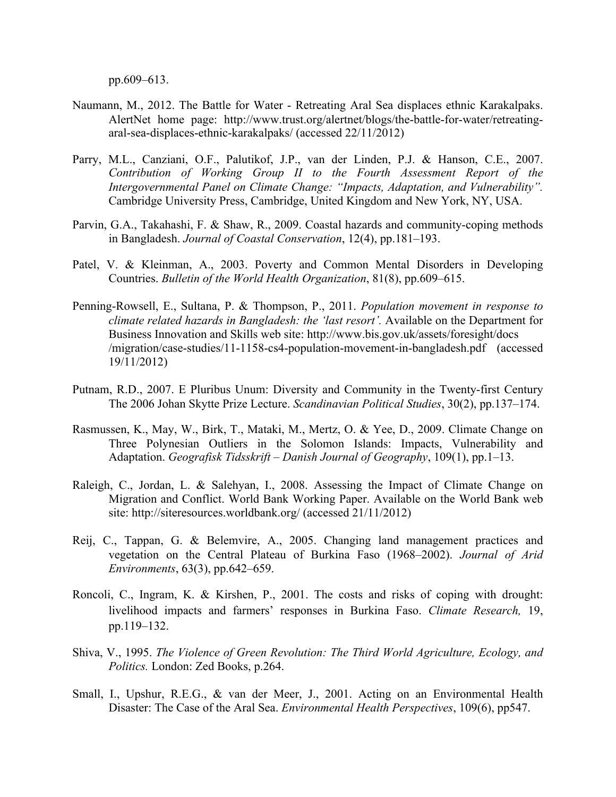pp.609–613.

- Naumann, M., 2012. The Battle for Water Retreating Aral Sea displaces ethnic Karakalpaks. AlertNet home page: http://www.trust.org/alertnet/blogs/the-battle-for-water/retreatingaral-sea-displaces-ethnic-karakalpaks/ (accessed 22/11/2012)
- Parry, M.L., Canziani, O.F., Palutikof, J.P., van der Linden, P.J. & Hanson, C.E., 2007. *Contribution of Working Group II to the Fourth Assessment Report of the Intergovernmental Panel on Climate Change: "Impacts, Adaptation, and Vulnerability".* Cambridge University Press, Cambridge, United Kingdom and New York, NY, USA.
- Parvin, G.A., Takahashi, F. & Shaw, R., 2009. Coastal hazards and community-coping methods in Bangladesh. *Journal of Coastal Conservation*, 12(4), pp.181–193.
- Patel, V. & Kleinman, A., 2003. Poverty and Common Mental Disorders in Developing Countries. *Bulletin of the World Health Organization*, 81(8), pp.609–615.
- Penning-Rowsell, E., Sultana, P. & Thompson, P., 2011. *Population movement in response to climate related hazards in Bangladesh: the 'last resort'.* Available on the Department for Business Innovation and Skills web site: http://www.bis.gov.uk/assets/foresight/docs /migration/case-studies/11-1158-cs4-population-movement-in-bangladesh.pdf (accessed 19/11/2012)
- Putnam, R.D., 2007. E Pluribus Unum: Diversity and Community in the Twenty-first Century The 2006 Johan Skytte Prize Lecture. *Scandinavian Political Studies*, 30(2), pp.137–174.
- Rasmussen, K., May, W., Birk, T., Mataki, M., Mertz, O. & Yee, D., 2009. Climate Change on Three Polynesian Outliers in the Solomon Islands: Impacts, Vulnerability and Adaptation. *Geografisk Tidsskrift – Danish Journal of Geography*, 109(1), pp.1–13.
- Raleigh, C., Jordan, L. & Salehyan, I., 2008. Assessing the Impact of Climate Change on Migration and Conflict. World Bank Working Paper. Available on the World Bank web site: http://siteresources.worldbank.org/ (accessed 21/11/2012)
- Reij, C., Tappan, G. & Belemvire, A., 2005. Changing land management practices and vegetation on the Central Plateau of Burkina Faso (1968–2002). *Journal of Arid Environments*, 63(3), pp.642–659.
- Roncoli, C., Ingram, K. & Kirshen, P., 2001. The costs and risks of coping with drought: livelihood impacts and farmers' responses in Burkina Faso. *Climate Research,* 19, pp.119–132.
- Shiva, V., 1995. *The Violence of Green Revolution: The Third World Agriculture, Ecology, and Politics.* London: Zed Books, p.264.
- Small, I., Upshur, R.E.G., & van der Meer, J., 2001. Acting on an Environmental Health Disaster: The Case of the Aral Sea. *Environmental Health Perspectives*, 109(6), pp547.